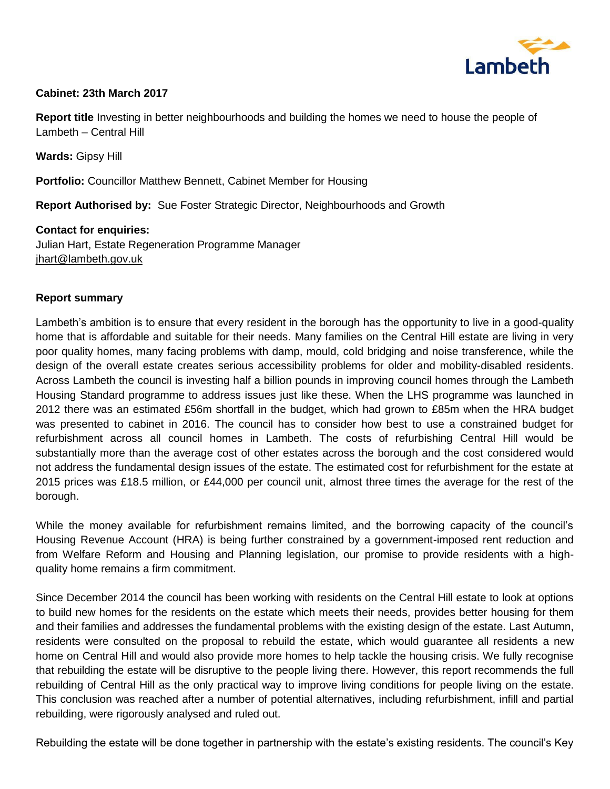

### **Cabinet: 23th March 2017**

**Report title** Investing in better neighbourhoods and building the homes we need to house the people of Lambeth – Central Hill

**Wards:** Gipsy Hill

**Portfolio:** Councillor Matthew Bennett, Cabinet Member for Housing

**Report Authorised by:** Sue Foster Strategic Director, Neighbourhoods and Growth

**Contact for enquiries:** Julian Hart, Estate Regeneration Programme Manager [jhart@lambeth.gov.uk](mailto:someofficer@lambeth.gov.uk) 

#### **Report summary**

Lambeth's ambition is to ensure that every resident in the borough has the opportunity to live in a good-quality home that is affordable and suitable for their needs. Many families on the Central Hill estate are living in very poor quality homes, many facing problems with damp, mould, cold bridging and noise transference, while the design of the overall estate creates serious accessibility problems for older and mobility-disabled residents. Across Lambeth the council is investing half a billion pounds in improving council homes through the Lambeth Housing Standard programme to address issues just like these. When the LHS programme was launched in 2012 there was an estimated £56m shortfall in the budget, which had grown to £85m when the HRA budget was presented to cabinet in 2016. The council has to consider how best to use a constrained budget for refurbishment across all council homes in Lambeth. The costs of refurbishing Central Hill would be substantially more than the average cost of other estates across the borough and the cost considered would not address the fundamental design issues of the estate. The estimated cost for refurbishment for the estate at 2015 prices was £18.5 million, or £44,000 per council unit, almost three times the average for the rest of the borough.

While the money available for refurbishment remains limited, and the borrowing capacity of the council's Housing Revenue Account (HRA) is being further constrained by a government-imposed rent reduction and from Welfare Reform and Housing and Planning legislation, our promise to provide residents with a highquality home remains a firm commitment.

Since December 2014 the council has been working with residents on the Central Hill estate to look at options to build new homes for the residents on the estate which meets their needs, provides better housing for them and their families and addresses the fundamental problems with the existing design of the estate. Last Autumn, residents were consulted on the proposal to rebuild the estate, which would guarantee all residents a new home on Central Hill and would also provide more homes to help tackle the housing crisis. We fully recognise that rebuilding the estate will be disruptive to the people living there. However, this report recommends the full rebuilding of Central Hill as the only practical way to improve living conditions for people living on the estate. This conclusion was reached after a number of potential alternatives, including refurbishment, infill and partial rebuilding, were rigorously analysed and ruled out.

Rebuilding the estate will be done together in partnership with the estate's existing residents. The council's Key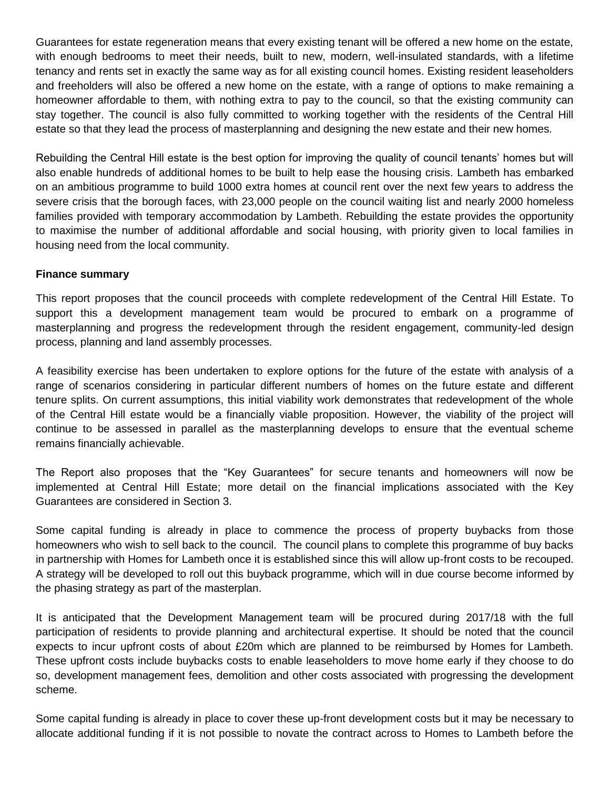Guarantees for estate regeneration means that every existing tenant will be offered a new home on the estate, with enough bedrooms to meet their needs, built to new, modern, well-insulated standards, with a lifetime tenancy and rents set in exactly the same way as for all existing council homes. Existing resident leaseholders and freeholders will also be offered a new home on the estate, with a range of options to make remaining a homeowner affordable to them, with nothing extra to pay to the council, so that the existing community can stay together. The council is also fully committed to working together with the residents of the Central Hill estate so that they lead the process of masterplanning and designing the new estate and their new homes.

Rebuilding the Central Hill estate is the best option for improving the quality of council tenants' homes but will also enable hundreds of additional homes to be built to help ease the housing crisis. Lambeth has embarked on an ambitious programme to build 1000 extra homes at council rent over the next few years to address the severe crisis that the borough faces, with 23,000 people on the council waiting list and nearly 2000 homeless families provided with temporary accommodation by Lambeth. Rebuilding the estate provides the opportunity to maximise the number of additional affordable and social housing, with priority given to local families in housing need from the local community.

#### **Finance summary**

This report proposes that the council proceeds with complete redevelopment of the Central Hill Estate. To support this a development management team would be procured to embark on a programme of masterplanning and progress the redevelopment through the resident engagement, community-led design process, planning and land assembly processes.

A feasibility exercise has been undertaken to explore options for the future of the estate with analysis of a range of scenarios considering in particular different numbers of homes on the future estate and different tenure splits. On current assumptions, this initial viability work demonstrates that redevelopment of the whole of the Central Hill estate would be a financially viable proposition. However, the viability of the project will continue to be assessed in parallel as the masterplanning develops to ensure that the eventual scheme remains financially achievable.

The Report also proposes that the "Key Guarantees" for secure tenants and homeowners will now be implemented at Central Hill Estate; more detail on the financial implications associated with the Key Guarantees are considered in Section 3.

Some capital funding is already in place to commence the process of property buybacks from those homeowners who wish to sell back to the council. The council plans to complete this programme of buy backs in partnership with Homes for Lambeth once it is established since this will allow up-front costs to be recouped. A strategy will be developed to roll out this buyback programme, which will in due course become informed by the phasing strategy as part of the masterplan.

It is anticipated that the Development Management team will be procured during 2017/18 with the full participation of residents to provide planning and architectural expertise. It should be noted that the council expects to incur upfront costs of about £20m which are planned to be reimbursed by Homes for Lambeth. These upfront costs include buybacks costs to enable leaseholders to move home early if they choose to do so, development management fees, demolition and other costs associated with progressing the development scheme.

Some capital funding is already in place to cover these up-front development costs but it may be necessary to allocate additional funding if it is not possible to novate the contract across to Homes to Lambeth before the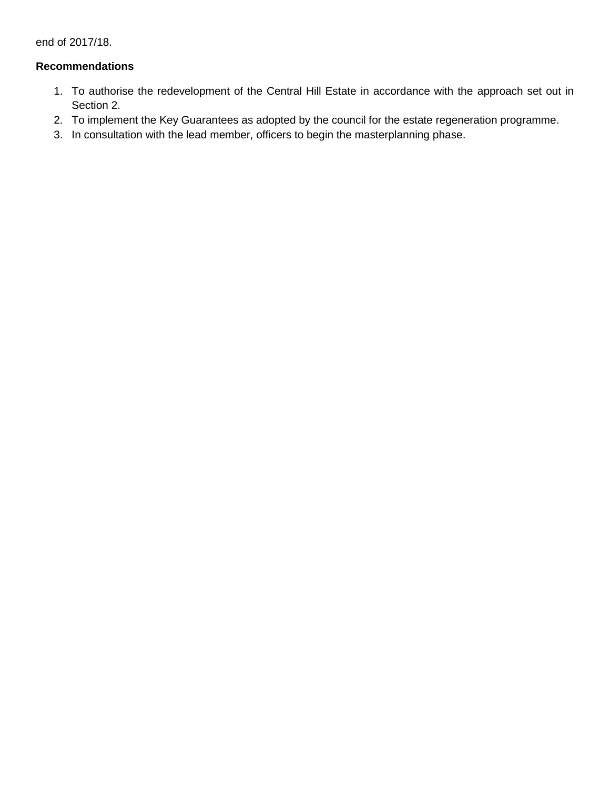end of 2017/18.

### **Recommendations**

- 1. To authorise the redevelopment of the Central Hill Estate in accordance with the approach set out in Section 2.
- 2. To implement the Key Guarantees as adopted by the council for the estate regeneration programme.
- 3. In consultation with the lead member, officers to begin the masterplanning phase.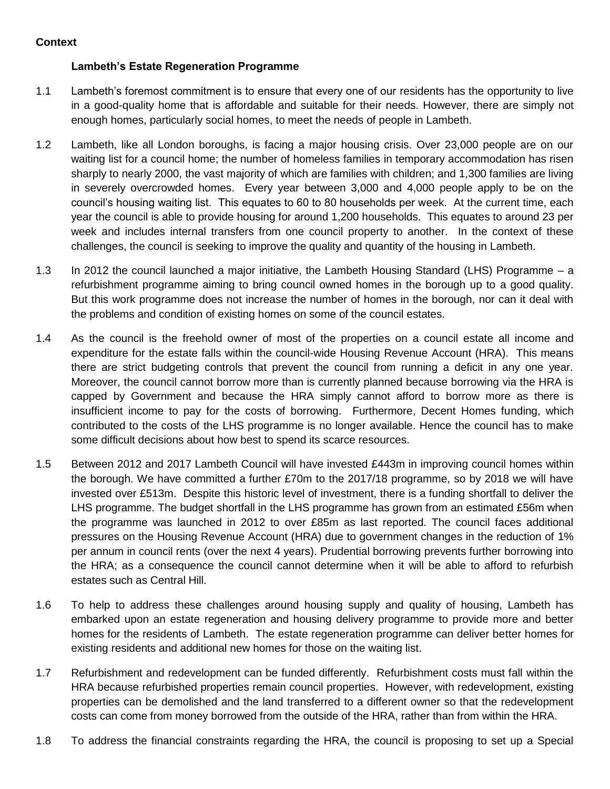# **Lambeth's Estate Regeneration Programme**

- 1.1 Lambeth's foremost commitment is to ensure that every one of our residents has the opportunity to live in a good-quality home that is affordable and suitable for their needs. However, there are simply not enough homes, particularly social homes, to meet the needs of people in Lambeth.
- 1.2 Lambeth, like all London boroughs, is facing a major housing crisis. Over 23,000 people are on our waiting list for a council home; the number of homeless families in temporary accommodation has risen sharply to nearly 2000, the vast majority of which are families with children; and 1,300 families are living in severely overcrowded homes. Every year between 3,000 and 4,000 people apply to be on the council's housing waiting list. This equates to 60 to 80 households per week. At the current time, each year the council is able to provide housing for around 1,200 households. This equates to around 23 per week and includes internal transfers from one council property to another. In the context of these challenges, the council is seeking to improve the quality and quantity of the housing in Lambeth.
- 1.3 In 2012 the council launched a major initiative, the Lambeth Housing Standard (LHS) Programme a refurbishment programme aiming to bring council owned homes in the borough up to a good quality. But this work programme does not increase the number of homes in the borough, nor can it deal with the problems and condition of existing homes on some of the council estates.
- 1.4 As the council is the freehold owner of most of the properties on a council estate all income and expenditure for the estate falls within the council-wide Housing Revenue Account (HRA). This means there are strict budgeting controls that prevent the council from running a deficit in any one year. Moreover, the council cannot borrow more than is currently planned because borrowing via the HRA is capped by Government and because the HRA simply cannot afford to borrow more as there is insufficient income to pay for the costs of borrowing. Furthermore, Decent Homes funding, which contributed to the costs of the LHS programme is no longer available. Hence the council has to make some difficult decisions about how best to spend its scarce resources.
- 1.5 Between 2012 and 2017 Lambeth Council will have invested £443m in improving council homes within the borough. We have committed a further £70m to the 2017/18 programme, so by 2018 we will have invested over £513m. Despite this historic level of investment, there is a funding shortfall to deliver the LHS programme. The budget shortfall in the LHS programme has grown from an estimated £56m when the programme was launched in 2012 to over £85m as last reported. The council faces additional pressures on the Housing Revenue Account (HRA) due to government changes in the reduction of 1% per annum in council rents (over the next 4 years). Prudential borrowing prevents further borrowing into the HRA; as a consequence the council cannot determine when it will be able to afford to refurbish estates such as Central Hill.
- 1.6 To help to address these challenges around housing supply and quality of housing, Lambeth has embarked upon an estate regeneration and housing delivery programme to provide more and better homes for the residents of Lambeth. The estate regeneration programme can deliver better homes for existing residents and additional new homes for those on the waiting list.
- 1.7 Refurbishment and redevelopment can be funded differently. Refurbishment costs must fall within the HRA because refurbished properties remain council properties. However, with redevelopment, existing properties can be demolished and the land transferred to a different owner so that the redevelopment costs can come from money borrowed from the outside of the HRA, rather than from within the HRA.
- 1.8 To address the financial constraints regarding the HRA, the council is proposing to set up a Special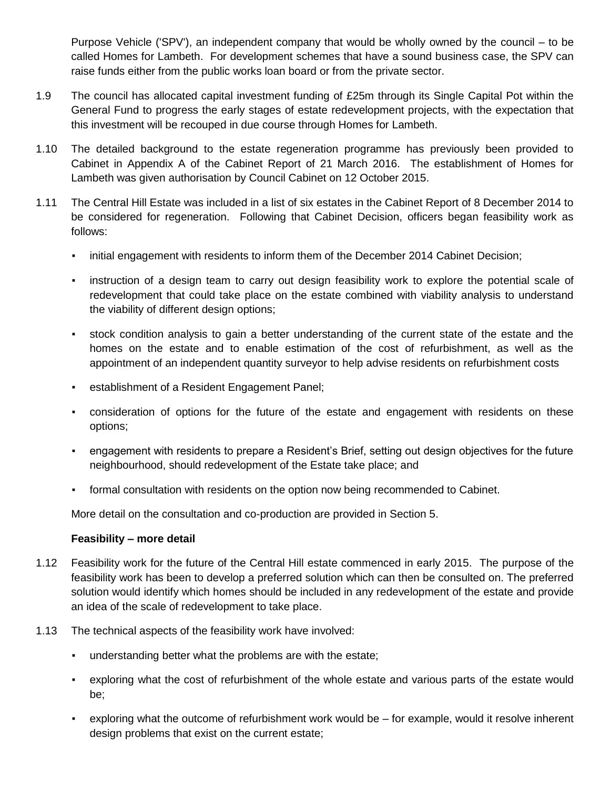Purpose Vehicle ('SPV'), an independent company that would be wholly owned by the council – to be called Homes for Lambeth. For development schemes that have a sound business case, the SPV can raise funds either from the public works loan board or from the private sector.

- 1.9 The council has allocated capital investment funding of £25m through its Single Capital Pot within the General Fund to progress the early stages of estate redevelopment projects, with the expectation that this investment will be recouped in due course through Homes for Lambeth.
- 1.10 The detailed background to the estate regeneration programme has previously been provided to Cabinet in Appendix A of the Cabinet Report of 21 March 2016. The establishment of Homes for Lambeth was given authorisation by Council Cabinet on 12 October 2015.
- 1.11 The Central Hill Estate was included in a list of six estates in the Cabinet Report of 8 December 2014 to be considered for regeneration. Following that Cabinet Decision, officers began feasibility work as follows:
	- initial engagement with residents to inform them of the December 2014 Cabinet Decision;
	- instruction of a design team to carry out design feasibility work to explore the potential scale of redevelopment that could take place on the estate combined with viability analysis to understand the viability of different design options;
	- stock condition analysis to gain a better understanding of the current state of the estate and the homes on the estate and to enable estimation of the cost of refurbishment, as well as the appointment of an independent quantity surveyor to help advise residents on refurbishment costs
	- establishment of a Resident Engagement Panel;
	- consideration of options for the future of the estate and engagement with residents on these options;
	- engagement with residents to prepare a Resident's Brief, setting out design objectives for the future neighbourhood, should redevelopment of the Estate take place; and
	- formal consultation with residents on the option now being recommended to Cabinet.

More detail on the consultation and co-production are provided in Section 5.

#### **Feasibility – more detail**

- 1.12 Feasibility work for the future of the Central Hill estate commenced in early 2015. The purpose of the feasibility work has been to develop a preferred solution which can then be consulted on. The preferred solution would identify which homes should be included in any redevelopment of the estate and provide an idea of the scale of redevelopment to take place.
- 1.13 The technical aspects of the feasibility work have involved:
	- understanding better what the problems are with the estate;
	- exploring what the cost of refurbishment of the whole estate and various parts of the estate would be;
	- exploring what the outcome of refurbishment work would be for example, would it resolve inherent design problems that exist on the current estate;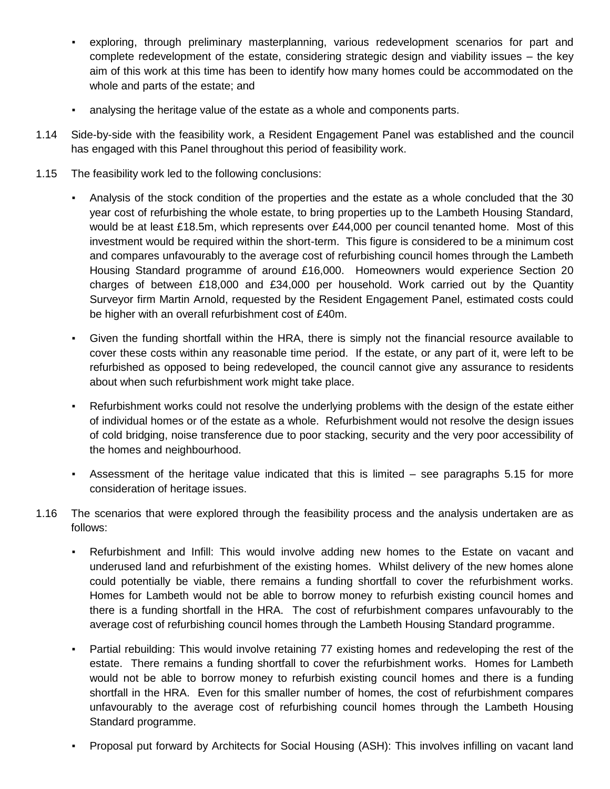- exploring, through preliminary masterplanning, various redevelopment scenarios for part and complete redevelopment of the estate, considering strategic design and viability issues – the key aim of this work at this time has been to identify how many homes could be accommodated on the whole and parts of the estate; and
- analysing the heritage value of the estate as a whole and components parts.
- 1.14 Side-by-side with the feasibility work, a Resident Engagement Panel was established and the council has engaged with this Panel throughout this period of feasibility work.
- 1.15 The feasibility work led to the following conclusions:
	- Analysis of the stock condition of the properties and the estate as a whole concluded that the 30 year cost of refurbishing the whole estate, to bring properties up to the Lambeth Housing Standard, would be at least £18.5m, which represents over £44,000 per council tenanted home. Most of this investment would be required within the short-term. This figure is considered to be a minimum cost and compares unfavourably to the average cost of refurbishing council homes through the Lambeth Housing Standard programme of around £16,000. Homeowners would experience Section 20 charges of between £18,000 and £34,000 per household. Work carried out by the Quantity Surveyor firm Martin Arnold, requested by the Resident Engagement Panel, estimated costs could be higher with an overall refurbishment cost of £40m.
	- Given the funding shortfall within the HRA, there is simply not the financial resource available to cover these costs within any reasonable time period. If the estate, or any part of it, were left to be refurbished as opposed to being redeveloped, the council cannot give any assurance to residents about when such refurbishment work might take place.
	- Refurbishment works could not resolve the underlying problems with the design of the estate either of individual homes or of the estate as a whole. Refurbishment would not resolve the design issues of cold bridging, noise transference due to poor stacking, security and the very poor accessibility of the homes and neighbourhood.
	- Assessment of the heritage value indicated that this is limited see paragraphs 5.15 for more consideration of heritage issues.
- 1.16 The scenarios that were explored through the feasibility process and the analysis undertaken are as follows:
	- Refurbishment and Infill: This would involve adding new homes to the Estate on vacant and underused land and refurbishment of the existing homes. Whilst delivery of the new homes alone could potentially be viable, there remains a funding shortfall to cover the refurbishment works. Homes for Lambeth would not be able to borrow money to refurbish existing council homes and there is a funding shortfall in the HRA. The cost of refurbishment compares unfavourably to the average cost of refurbishing council homes through the Lambeth Housing Standard programme.
	- Partial rebuilding: This would involve retaining 77 existing homes and redeveloping the rest of the estate. There remains a funding shortfall to cover the refurbishment works. Homes for Lambeth would not be able to borrow money to refurbish existing council homes and there is a funding shortfall in the HRA. Even for this smaller number of homes, the cost of refurbishment compares unfavourably to the average cost of refurbishing council homes through the Lambeth Housing Standard programme.
	- Proposal put forward by Architects for Social Housing (ASH): This involves infilling on vacant land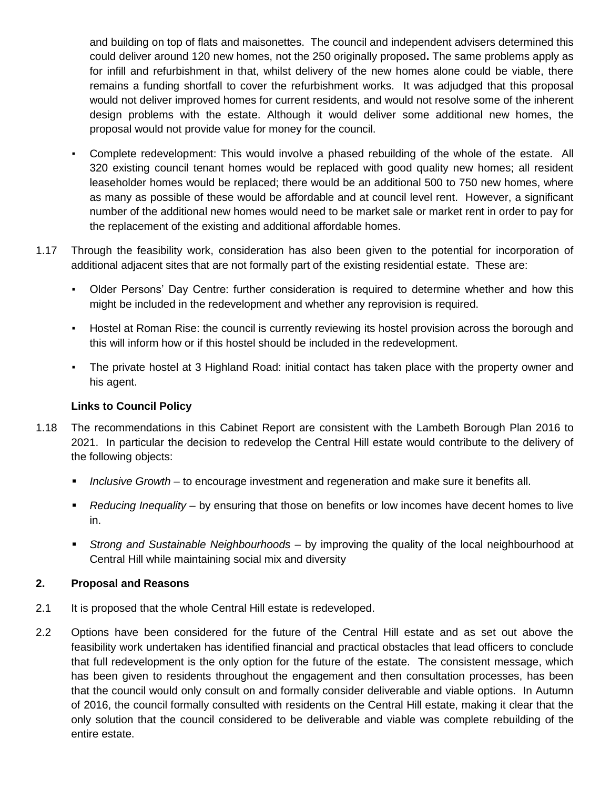and building on top of flats and maisonettes. The council and independent advisers determined this could deliver around 120 new homes, not the 250 originally proposed**.** The same problems apply as for infill and refurbishment in that, whilst delivery of the new homes alone could be viable, there remains a funding shortfall to cover the refurbishment works. It was adjudged that this proposal would not deliver improved homes for current residents, and would not resolve some of the inherent design problems with the estate. Although it would deliver some additional new homes, the proposal would not provide value for money for the council.

- Complete redevelopment: This would involve a phased rebuilding of the whole of the estate. All 320 existing council tenant homes would be replaced with good quality new homes; all resident leaseholder homes would be replaced; there would be an additional 500 to 750 new homes, where as many as possible of these would be affordable and at council level rent. However, a significant number of the additional new homes would need to be market sale or market rent in order to pay for the replacement of the existing and additional affordable homes.
- 1.17 Through the feasibility work, consideration has also been given to the potential for incorporation of additional adjacent sites that are not formally part of the existing residential estate. These are:
	- Older Persons' Day Centre: further consideration is required to determine whether and how this might be included in the redevelopment and whether any reprovision is required.
	- Hostel at Roman Rise: the council is currently reviewing its hostel provision across the borough and this will inform how or if this hostel should be included in the redevelopment.
	- The private hostel at 3 Highland Road: initial contact has taken place with the property owner and his agent.

# **Links to Council Policy**

- 1.18 The recommendations in this Cabinet Report are consistent with the Lambeth Borough Plan 2016 to 2021. In particular the decision to redevelop the Central Hill estate would contribute to the delivery of the following objects:
	- *Inclusive Growth* to encourage investment and regeneration and make sure it benefits all.
	- *Reducing Inequality* by ensuring that those on benefits or low incomes have decent homes to live in.
	- *Strong and Sustainable Neighbourhoods*  by improving the quality of the local neighbourhood at Central Hill while maintaining social mix and diversity

#### **2. Proposal and Reasons**

- 2.1 It is proposed that the whole Central Hill estate is redeveloped.
- 2.2 Options have been considered for the future of the Central Hill estate and as set out above the feasibility work undertaken has identified financial and practical obstacles that lead officers to conclude that full redevelopment is the only option for the future of the estate. The consistent message, which has been given to residents throughout the engagement and then consultation processes, has been that the council would only consult on and formally consider deliverable and viable options. In Autumn of 2016, the council formally consulted with residents on the Central Hill estate, making it clear that the only solution that the council considered to be deliverable and viable was complete rebuilding of the entire estate.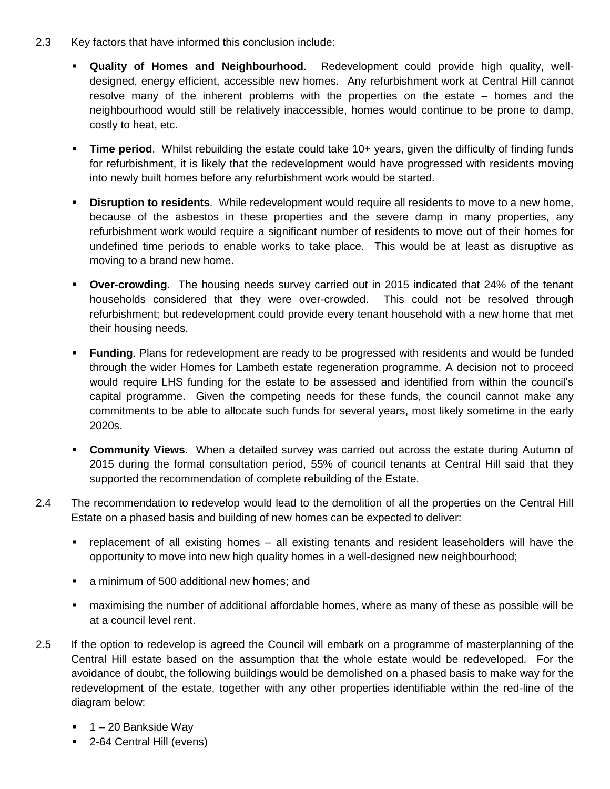- 2.3 Key factors that have informed this conclusion include:
	- **Quality of Homes and Neighbourhood**. Redevelopment could provide high quality, welldesigned, energy efficient, accessible new homes. Any refurbishment work at Central Hill cannot resolve many of the inherent problems with the properties on the estate – homes and the neighbourhood would still be relatively inaccessible, homes would continue to be prone to damp, costly to heat, etc.
	- **Time period**. Whilst rebuilding the estate could take 10+ years, given the difficulty of finding funds for refurbishment, it is likely that the redevelopment would have progressed with residents moving into newly built homes before any refurbishment work would be started.
	- **Disruption to residents**. While redevelopment would require all residents to move to a new home, because of the asbestos in these properties and the severe damp in many properties, any refurbishment work would require a significant number of residents to move out of their homes for undefined time periods to enable works to take place. This would be at least as disruptive as moving to a brand new home.
	- **Over-crowding**. The housing needs survey carried out in 2015 indicated that 24% of the tenant households considered that they were over-crowded. This could not be resolved through refurbishment; but redevelopment could provide every tenant household with a new home that met their housing needs.
	- **Funding**. Plans for redevelopment are ready to be progressed with residents and would be funded through the wider Homes for Lambeth estate regeneration programme. A decision not to proceed would require LHS funding for the estate to be assessed and identified from within the council's capital programme. Given the competing needs for these funds, the council cannot make any commitments to be able to allocate such funds for several years, most likely sometime in the early 2020s.
	- **Community Views**. When a detailed survey was carried out across the estate during Autumn of 2015 during the formal consultation period, 55% of council tenants at Central Hill said that they supported the recommendation of complete rebuilding of the Estate.
- 2.4 The recommendation to redevelop would lead to the demolition of all the properties on the Central Hill Estate on a phased basis and building of new homes can be expected to deliver:
	- replacement of all existing homes all existing tenants and resident leaseholders will have the opportunity to move into new high quality homes in a well-designed new neighbourhood;
	- a minimum of 500 additional new homes; and
	- maximising the number of additional affordable homes, where as many of these as possible will be at a council level rent.
- 2.5 If the option to redevelop is agreed the Council will embark on a programme of masterplanning of the Central Hill estate based on the assumption that the whole estate would be redeveloped. For the avoidance of doubt, the following buildings would be demolished on a phased basis to make way for the redevelopment of the estate, together with any other properties identifiable within the red-line of the diagram below:
	- $-1 20$  Bankside Way
	- 2-64 Central Hill (evens)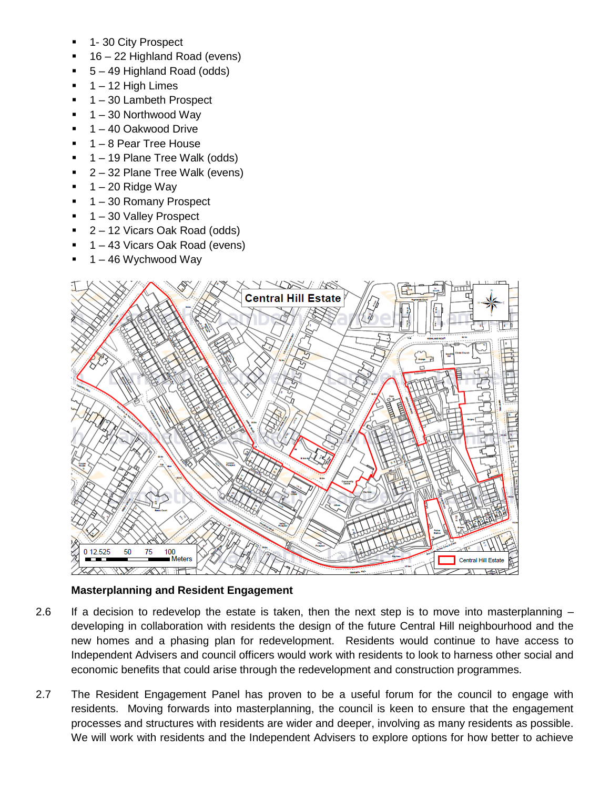- 1- 30 City Prospect
- 16 22 Highland Road (evens)
- 5 49 Highland Road (odds)
- $\blacksquare$  1 12 High Limes
- 1 30 Lambeth Prospect
- $-1 30$  Northwood Way
- 1 40 Oakwood Drive
- 1 8 Pear Tree House
- 1 19 Plane Tree Walk (odds)
- 2 32 Plane Tree Walk (evens)
- $-1 20$  Ridge Way
- $-1 30$  Romany Prospect
- 1 30 Valley Prospect
- 2 12 Vicars Oak Road (odds)
- 1 43 Vicars Oak Road (evens)
- 1 46 Wychwood Way



# **Masterplanning and Resident Engagement**

- 2.6 If a decision to redevelop the estate is taken, then the next step is to move into masterplanning developing in collaboration with residents the design of the future Central Hill neighbourhood and the new homes and a phasing plan for redevelopment. Residents would continue to have access to Independent Advisers and council officers would work with residents to look to harness other social and economic benefits that could arise through the redevelopment and construction programmes.
- 2.7 The Resident Engagement Panel has proven to be a useful forum for the council to engage with residents. Moving forwards into masterplanning, the council is keen to ensure that the engagement processes and structures with residents are wider and deeper, involving as many residents as possible. We will work with residents and the Independent Advisers to explore options for how better to achieve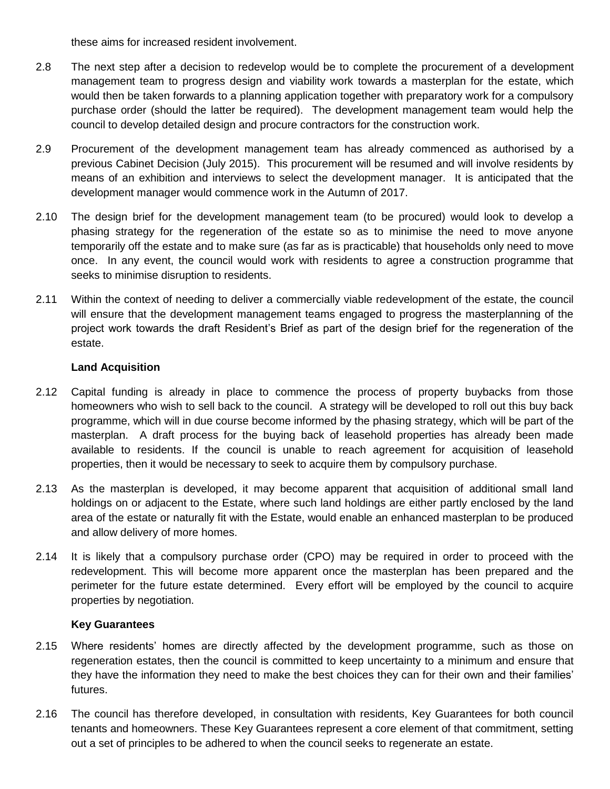these aims for increased resident involvement.

- 2.8 The next step after a decision to redevelop would be to complete the procurement of a development management team to progress design and viability work towards a masterplan for the estate, which would then be taken forwards to a planning application together with preparatory work for a compulsory purchase order (should the latter be required). The development management team would help the council to develop detailed design and procure contractors for the construction work.
- 2.9 Procurement of the development management team has already commenced as authorised by a previous Cabinet Decision (July 2015). This procurement will be resumed and will involve residents by means of an exhibition and interviews to select the development manager. It is anticipated that the development manager would commence work in the Autumn of 2017.
- 2.10 The design brief for the development management team (to be procured) would look to develop a phasing strategy for the regeneration of the estate so as to minimise the need to move anyone temporarily off the estate and to make sure (as far as is practicable) that households only need to move once. In any event, the council would work with residents to agree a construction programme that seeks to minimise disruption to residents.
- 2.11 Within the context of needing to deliver a commercially viable redevelopment of the estate, the council will ensure that the development management teams engaged to progress the masterplanning of the project work towards the draft Resident's Brief as part of the design brief for the regeneration of the estate.

# **Land Acquisition**

- 2.12 Capital funding is already in place to commence the process of property buybacks from those homeowners who wish to sell back to the council. A strategy will be developed to roll out this buy back programme, which will in due course become informed by the phasing strategy, which will be part of the masterplan. A draft process for the buying back of leasehold properties has already been made available to residents. If the council is unable to reach agreement for acquisition of leasehold properties, then it would be necessary to seek to acquire them by compulsory purchase.
- 2.13 As the masterplan is developed, it may become apparent that acquisition of additional small land holdings on or adjacent to the Estate, where such land holdings are either partly enclosed by the land area of the estate or naturally fit with the Estate, would enable an enhanced masterplan to be produced and allow delivery of more homes.
- 2.14 It is likely that a compulsory purchase order (CPO) may be required in order to proceed with the redevelopment. This will become more apparent once the masterplan has been prepared and the perimeter for the future estate determined. Every effort will be employed by the council to acquire properties by negotiation.

# **Key Guarantees**

- 2.15 Where residents' homes are directly affected by the development programme, such as those on regeneration estates, then the council is committed to keep uncertainty to a minimum and ensure that they have the information they need to make the best choices they can for their own and their families' futures.
- 2.16 The council has therefore developed, in consultation with residents, Key Guarantees for both council tenants and homeowners. These Key Guarantees represent a core element of that commitment, setting out a set of principles to be adhered to when the council seeks to regenerate an estate.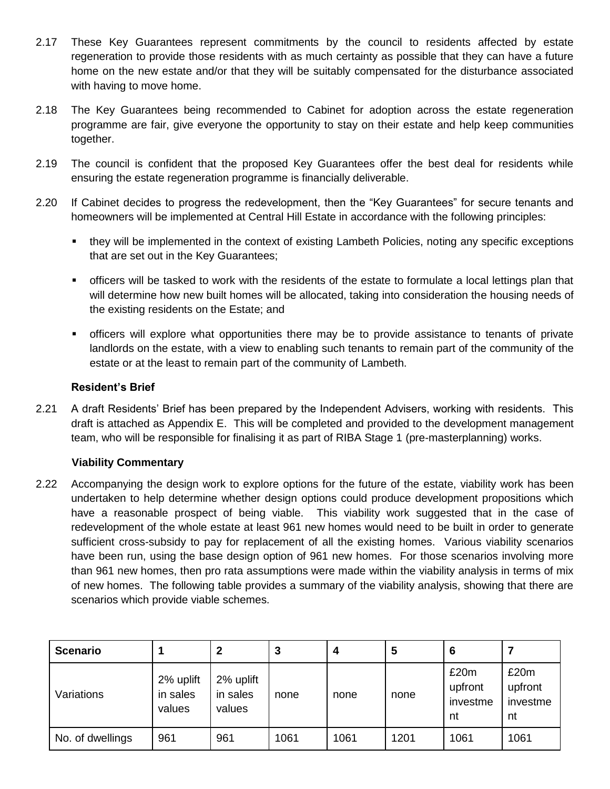- 2.17 These Key Guarantees represent commitments by the council to residents affected by estate regeneration to provide those residents with as much certainty as possible that they can have a future home on the new estate and/or that they will be suitably compensated for the disturbance associated with having to move home.
- 2.18 The Key Guarantees being recommended to Cabinet for adoption across the estate regeneration programme are fair, give everyone the opportunity to stay on their estate and help keep communities together.
- 2.19 The council is confident that the proposed Key Guarantees offer the best deal for residents while ensuring the estate regeneration programme is financially deliverable.
- 2.20 If Cabinet decides to progress the redevelopment, then the "Key Guarantees" for secure tenants and homeowners will be implemented at Central Hill Estate in accordance with the following principles:
	- they will be implemented in the context of existing Lambeth Policies, noting any specific exceptions that are set out in the Key Guarantees;
	- officers will be tasked to work with the residents of the estate to formulate a local lettings plan that will determine how new built homes will be allocated, taking into consideration the housing needs of the existing residents on the Estate; and
	- officers will explore what opportunities there may be to provide assistance to tenants of private landlords on the estate, with a view to enabling such tenants to remain part of the community of the estate or at the least to remain part of the community of Lambeth.

#### **Resident's Brief**

2.21 A draft Residents' Brief has been prepared by the Independent Advisers, working with residents. This draft is attached as Appendix E. This will be completed and provided to the development management team, who will be responsible for finalising it as part of RIBA Stage 1 (pre-masterplanning) works.

# **Viability Commentary**

2.22 Accompanying the design work to explore options for the future of the estate, viability work has been undertaken to help determine whether design options could produce development propositions which have a reasonable prospect of being viable. This viability work suggested that in the case of redevelopment of the whole estate at least 961 new homes would need to be built in order to generate sufficient cross-subsidy to pay for replacement of all the existing homes. Various viability scenarios have been run, using the base design option of 961 new homes. For those scenarios involving more than 961 new homes, then pro rata assumptions were made within the viability analysis in terms of mix of new homes. The following table provides a summary of the viability analysis, showing that there are scenarios which provide viable schemes.

| <b>Scenario</b>  |                                 | 2                               | 3    |      | 5    | 6                                 |                                   |
|------------------|---------------------------------|---------------------------------|------|------|------|-----------------------------------|-----------------------------------|
| Variations       | 2% uplift<br>in sales<br>values | 2% uplift<br>in sales<br>values | none | none | none | £20m<br>upfront<br>investme<br>nt | £20m<br>upfront<br>investme<br>nt |
| No. of dwellings | 961                             | 961                             | 1061 | 1061 | 1201 | 1061                              | 1061                              |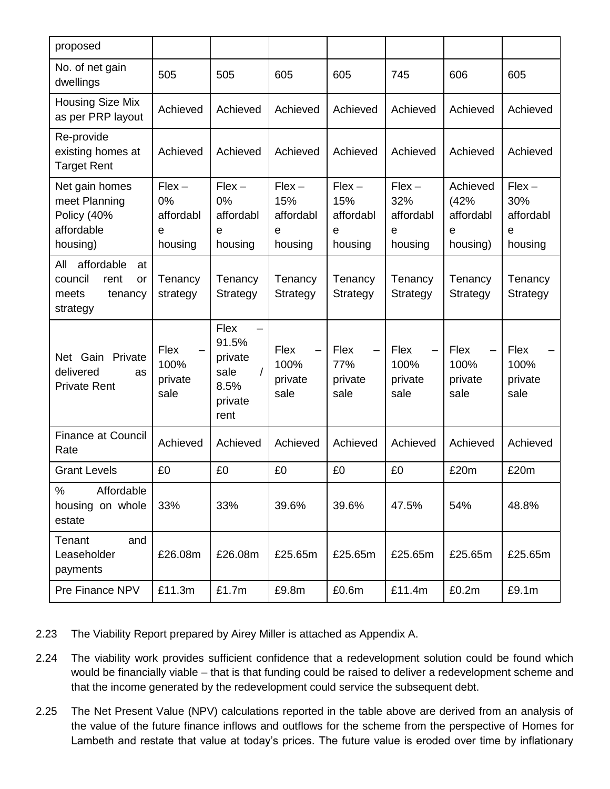| proposed                                                                         |                                             |                                                                         |                                                             |                                                     |                                                             |                                                             |                                              |
|----------------------------------------------------------------------------------|---------------------------------------------|-------------------------------------------------------------------------|-------------------------------------------------------------|-----------------------------------------------------|-------------------------------------------------------------|-------------------------------------------------------------|----------------------------------------------|
| No. of net gain<br>dwellings                                                     | 505                                         | 505                                                                     | 605                                                         | 605                                                 | 745                                                         | 606                                                         | 605                                          |
| Housing Size Mix<br>as per PRP layout                                            | Achieved                                    | Achieved                                                                | Achieved                                                    | Achieved                                            | Achieved                                                    | Achieved                                                    | Achieved                                     |
| Re-provide<br>existing homes at<br><b>Target Rent</b>                            | Achieved                                    | Achieved                                                                | Achieved                                                    | Achieved                                            | Achieved                                                    | Achieved                                                    | Achieved                                     |
| Net gain homes<br>meet Planning<br>Policy (40%<br>affordable<br>housing)         | $Flex -$<br>0%<br>affordabl<br>e<br>housing | $Flex -$<br>0%<br>affordabl<br>e<br>housing                             | $Flex -$<br>15%<br>affordabl<br>$\mathbf e$<br>housing      | $Flex -$<br>15%<br>affordabl<br>e<br>housing        | $Flex -$<br>32%<br>affordabl<br>e<br>housing                | Achieved<br>(42%<br>affordabl<br>$\mathbf e$<br>housing)    | $Flex -$<br>30%<br>affordabl<br>e<br>housing |
| affordable<br>All<br>at<br>council<br>rent<br>or<br>tenancy<br>meets<br>strategy | Tenancy<br>strategy                         | Tenancy<br>Strategy                                                     | Tenancy<br>Strategy                                         | Tenancy<br>Strategy                                 | Tenancy<br>Strategy                                         | Tenancy<br>Strategy                                         | Tenancy<br>Strategy                          |
| Private<br>Net Gain<br>delivered<br>as<br><b>Private Rent</b>                    | Flex<br>100%<br>private<br>sale             | Flex<br>91.5%<br>private<br>sale<br>$\prime$<br>8.5%<br>private<br>rent | Flex<br>$\overline{\phantom{0}}$<br>100%<br>private<br>sale | Flex<br>$\qquad \qquad -$<br>77%<br>private<br>sale | Flex<br>$\overline{\phantom{0}}$<br>100%<br>private<br>sale | Flex<br>$\overline{\phantom{0}}$<br>100%<br>private<br>sale | Flex<br>100%<br>private<br>sale              |
| <b>Finance at Council</b><br>Rate                                                | Achieved                                    | Achieved                                                                | Achieved                                                    | Achieved                                            | Achieved                                                    | Achieved                                                    | Achieved                                     |
| <b>Grant Levels</b>                                                              | £0                                          | £0                                                                      | £0                                                          | £0                                                  | £0                                                          | £20m                                                        | £20m                                         |
| $\%$<br>Affordable<br>housing on whole<br>estate                                 | 33%                                         | 33%                                                                     | 39.6%                                                       | 39.6%                                               | 47.5%                                                       | 54%                                                         | 48.8%                                        |
| Tenant<br>and<br>Leaseholder<br>payments                                         | £26.08m                                     | £26.08m                                                                 | £25.65m                                                     | £25.65m                                             | £25.65m                                                     | £25.65m                                                     | £25.65m                                      |
| Pre Finance NPV                                                                  | £11.3m                                      | £1.7m                                                                   | £9.8m                                                       | £0.6m                                               | £11.4m                                                      | £0.2m                                                       | £9.1m                                        |

- 2.23 The Viability Report prepared by Airey Miller is attached as Appendix A.
- 2.24 The viability work provides sufficient confidence that a redevelopment solution could be found which would be financially viable – that is that funding could be raised to deliver a redevelopment scheme and that the income generated by the redevelopment could service the subsequent debt.
- 2.25 The Net Present Value (NPV) calculations reported in the table above are derived from an analysis of the value of the future finance inflows and outflows for the scheme from the perspective of Homes for Lambeth and restate that value at today's prices. The future value is eroded over time by inflationary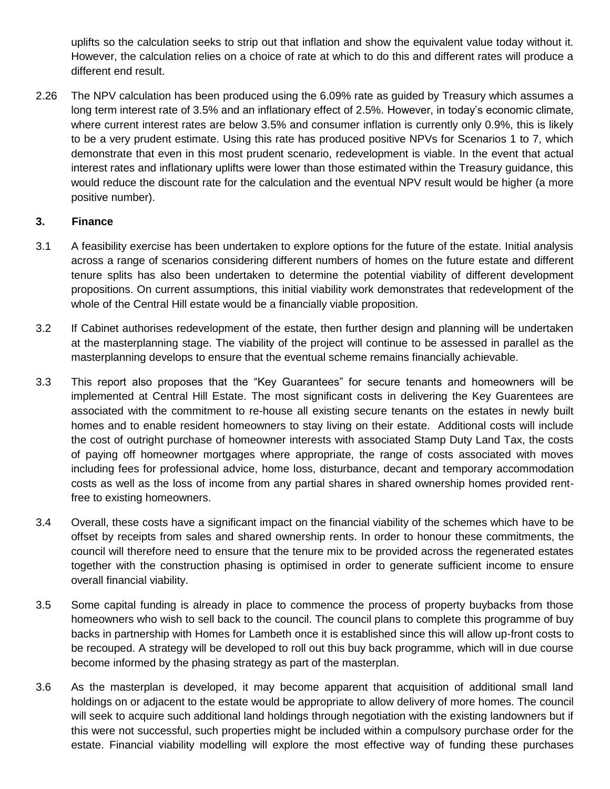uplifts so the calculation seeks to strip out that inflation and show the equivalent value today without it. However, the calculation relies on a choice of rate at which to do this and different rates will produce a different end result.

2.26 The NPV calculation has been produced using the 6.09% rate as guided by Treasury which assumes a long term interest rate of 3.5% and an inflationary effect of 2.5%. However, in today's economic climate, where current interest rates are below 3.5% and consumer inflation is currently only 0.9%, this is likely to be a very prudent estimate. Using this rate has produced positive NPVs for Scenarios 1 to 7, which demonstrate that even in this most prudent scenario, redevelopment is viable. In the event that actual interest rates and inflationary uplifts were lower than those estimated within the Treasury guidance, this would reduce the discount rate for the calculation and the eventual NPV result would be higher (a more positive number).

### **3. Finance**

- 3.1 A feasibility exercise has been undertaken to explore options for the future of the estate. Initial analysis across a range of scenarios considering different numbers of homes on the future estate and different tenure splits has also been undertaken to determine the potential viability of different development propositions. On current assumptions, this initial viability work demonstrates that redevelopment of the whole of the Central Hill estate would be a financially viable proposition.
- 3.2 If Cabinet authorises redevelopment of the estate, then further design and planning will be undertaken at the masterplanning stage. The viability of the project will continue to be assessed in parallel as the masterplanning develops to ensure that the eventual scheme remains financially achievable.
- 3.3 This report also proposes that the "Key Guarantees" for secure tenants and homeowners will be implemented at Central Hill Estate. The most significant costs in delivering the Key Guarentees are associated with the commitment to re-house all existing secure tenants on the estates in newly built homes and to enable resident homeowners to stay living on their estate. Additional costs will include the cost of outright purchase of homeowner interests with associated Stamp Duty Land Tax, the costs of paying off homeowner mortgages where appropriate, the range of costs associated with moves including fees for professional advice, home loss, disturbance, decant and temporary accommodation costs as well as the loss of income from any partial shares in shared ownership homes provided rentfree to existing homeowners.
- 3.4 Overall, these costs have a significant impact on the financial viability of the schemes which have to be offset by receipts from sales and shared ownership rents. In order to honour these commitments, the council will therefore need to ensure that the tenure mix to be provided across the regenerated estates together with the construction phasing is optimised in order to generate sufficient income to ensure overall financial viability.
- 3.5 Some capital funding is already in place to commence the process of property buybacks from those homeowners who wish to sell back to the council. The council plans to complete this programme of buy backs in partnership with Homes for Lambeth once it is established since this will allow up-front costs to be recouped. A strategy will be developed to roll out this buy back programme, which will in due course become informed by the phasing strategy as part of the masterplan.
- 3.6 As the masterplan is developed, it may become apparent that acquisition of additional small land holdings on or adjacent to the estate would be appropriate to allow delivery of more homes. The council will seek to acquire such additional land holdings through negotiation with the existing landowners but if this were not successful, such properties might be included within a compulsory purchase order for the estate. Financial viability modelling will explore the most effective way of funding these purchases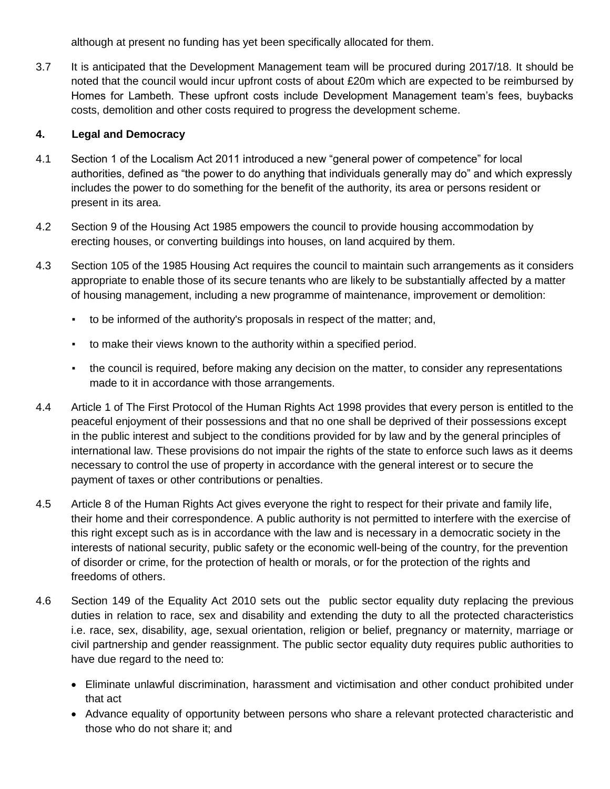although at present no funding has yet been specifically allocated for them.

3.7 It is anticipated that the Development Management team will be procured during 2017/18. It should be noted that the council would incur upfront costs of about £20m which are expected to be reimbursed by Homes for Lambeth. These upfront costs include Development Management team's fees, buybacks costs, demolition and other costs required to progress the development scheme.

### **4. Legal and Democracy**

- 4.1 Section 1 of the Localism Act 2011 introduced a new "general power of competence" for local authorities, defined as "the power to do anything that individuals generally may do" and which expressly includes the power to do something for the benefit of the authority, its area or persons resident or present in its area.
- 4.2 Section 9 of the Housing Act 1985 empowers the council to provide housing accommodation by erecting houses, or converting buildings into houses, on land acquired by them.
- 4.3 Section 105 of the 1985 Housing Act requires the council to maintain such arrangements as it considers appropriate to enable those of its secure tenants who are likely to be substantially affected by a matter of housing management, including a new programme of maintenance, improvement or demolition:
	- to be informed of the authority's proposals in respect of the matter; and,
	- to make their views known to the authority within a specified period.
	- the council is required, before making any decision on the matter, to consider any representations made to it in accordance with those arrangements.
- 4.4 Article 1 of The First Protocol of the Human Rights Act 1998 provides that every person is entitled to the peaceful enjoyment of their possessions and that no one shall be deprived of their possessions except in the public interest and subject to the conditions provided for by law and by the general principles of international law. These provisions do not impair the rights of the state to enforce such laws as it deems necessary to control the use of property in accordance with the general interest or to secure the payment of taxes or other contributions or penalties.
- 4.5 Article 8 of the Human Rights Act gives everyone the right to respect for their private and family life, their home and their correspondence. A public authority is not permitted to interfere with the exercise of this right except such as is in accordance with the law and is necessary in a democratic society in the interests of national security, public safety or the economic well-being of the country, for the prevention of disorder or crime, for the protection of health or morals, or for the protection of the rights and freedoms of others.
- 4.6 Section 149 of the Equality Act 2010 sets out the public sector equality duty replacing the previous duties in relation to race, sex and disability and extending the duty to all the protected characteristics i.e. race, sex, disability, age, sexual orientation, religion or belief, pregnancy or maternity, marriage or civil partnership and gender reassignment. The public sector equality duty requires public authorities to have due regard to the need to:
	- Eliminate unlawful discrimination, harassment and victimisation and other conduct prohibited under that act
	- Advance equality of opportunity between persons who share a relevant protected characteristic and those who do not share it; and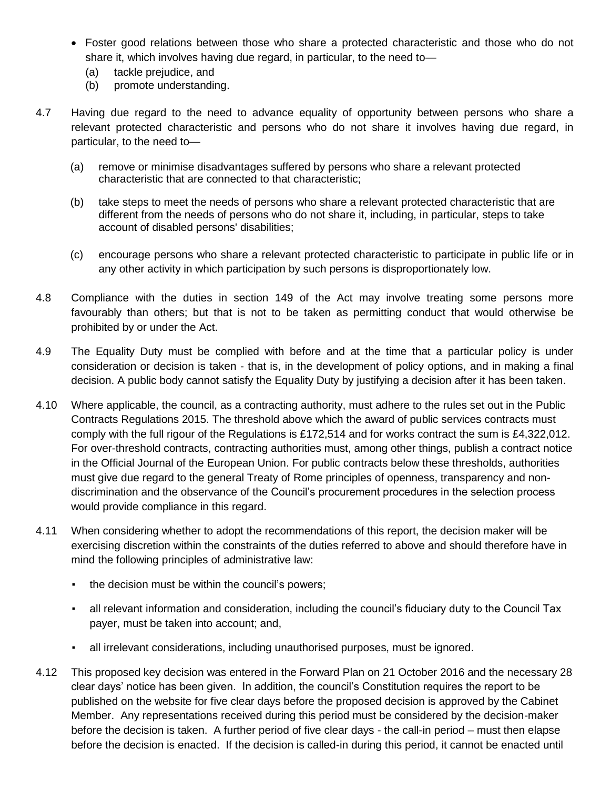- Foster good relations between those who share a protected characteristic and those who do not share it, which involves having due regard, in particular, to the need to—
	- (a) tackle prejudice, and
	- (b) promote understanding.
- 4.7 Having due regard to the need to advance equality of opportunity between persons who share a relevant protected characteristic and persons who do not share it involves having due regard, in particular, to the need to—
	- (a) remove or minimise disadvantages suffered by persons who share a relevant protected characteristic that are connected to that characteristic;
	- (b) take steps to meet the needs of persons who share a relevant protected characteristic that are different from the needs of persons who do not share it, including, in particular, steps to take account of disabled persons' disabilities;
	- (c) encourage persons who share a relevant protected characteristic to participate in public life or in any other activity in which participation by such persons is disproportionately low.
- 4.8 Compliance with the duties in section 149 of the Act may involve treating some persons more favourably than others; but that is not to be taken as permitting conduct that would otherwise be prohibited by or under the Act.
- 4.9 The Equality Duty must be complied with before and at the time that a particular policy is under consideration or decision is taken - that is, in the development of policy options, and in making a final decision. A public body cannot satisfy the Equality Duty by justifying a decision after it has been taken.
- 4.10 Where applicable, the council, as a contracting authority, must adhere to the rules set out in the Public Contracts Regulations 2015. The threshold above which the award of public services contracts must comply with the full rigour of the Regulations is £172,514 and for works contract the sum is £4,322,012. For over-threshold contracts, contracting authorities must, among other things, publish a contract notice in the Official Journal of the European Union. For public contracts below these thresholds, authorities must give due regard to the general Treaty of Rome principles of openness, transparency and nondiscrimination and the observance of the Council's procurement procedures in the selection process would provide compliance in this regard.
- 4.11 When considering whether to adopt the recommendations of this report, the decision maker will be exercising discretion within the constraints of the duties referred to above and should therefore have in mind the following principles of administrative law:
	- the decision must be within the council's powers;
	- all relevant information and consideration, including the council's fiduciary duty to the Council Tax payer, must be taken into account; and,
	- all irrelevant considerations, including unauthorised purposes, must be ignored.
- 4.12 This proposed key decision was entered in the Forward Plan on 21 October 2016 and the necessary 28 clear days' notice has been given. In addition, the council's Constitution requires the report to be published on the website for five clear days before the proposed decision is approved by the Cabinet Member. Any representations received during this period must be considered by the decision-maker before the decision is taken. A further period of five clear days - the call-in period – must then elapse before the decision is enacted. If the decision is called-in during this period, it cannot be enacted until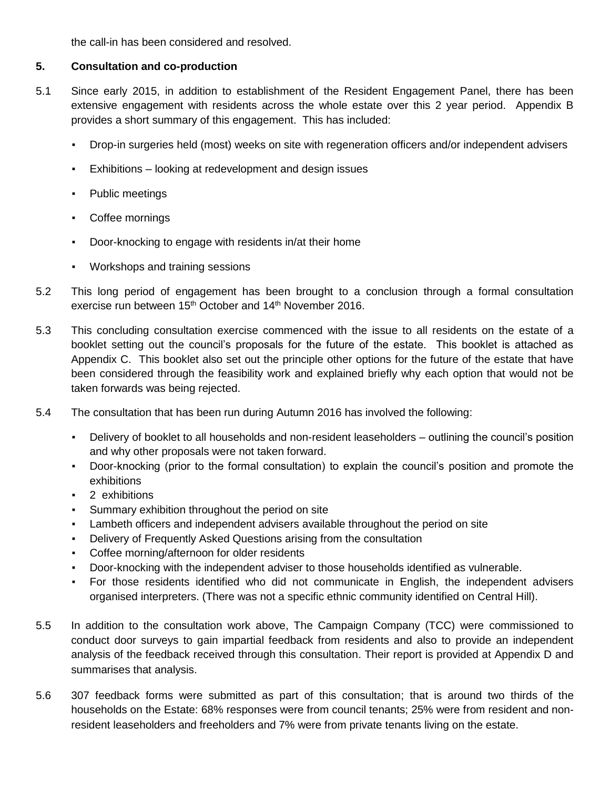the call-in has been considered and resolved.

### **5. Consultation and co-production**

- 5.1 Since early 2015, in addition to establishment of the Resident Engagement Panel, there has been extensive engagement with residents across the whole estate over this 2 year period. Appendix B provides a short summary of this engagement. This has included:
	- Drop-in surgeries held (most) weeks on site with regeneration officers and/or independent advisers
	- Exhibitions looking at redevelopment and design issues
	- Public meetings
	- Coffee mornings
	- Door-knocking to engage with residents in/at their home
	- Workshops and training sessions
- 5.2 This long period of engagement has been brought to a conclusion through a formal consultation exercise run between 15<sup>th</sup> October and 14<sup>th</sup> November 2016.
- 5.3 This concluding consultation exercise commenced with the issue to all residents on the estate of a booklet setting out the council's proposals for the future of the estate. This booklet is attached as Appendix C. This booklet also set out the principle other options for the future of the estate that have been considered through the feasibility work and explained briefly why each option that would not be taken forwards was being rejected.
- 5.4 The consultation that has been run during Autumn 2016 has involved the following:
	- Delivery of booklet to all households and non-resident leaseholders outlining the council's position and why other proposals were not taken forward.
	- Door-knocking (prior to the formal consultation) to explain the council's position and promote the exhibitions
	- 2 exhibitions
	- Summary exhibition throughout the period on site
	- Lambeth officers and independent advisers available throughout the period on site
	- Delivery of Frequently Asked Questions arising from the consultation
	- Coffee morning/afternoon for older residents
	- Door-knocking with the independent adviser to those households identified as vulnerable.
	- For those residents identified who did not communicate in English, the independent advisers organised interpreters. (There was not a specific ethnic community identified on Central Hill).
- 5.5 In addition to the consultation work above, The Campaign Company (TCC) were commissioned to conduct door surveys to gain impartial feedback from residents and also to provide an independent analysis of the feedback received through this consultation. Their report is provided at Appendix D and summarises that analysis.
- 5.6 307 feedback forms were submitted as part of this consultation; that is around two thirds of the households on the Estate: 68% responses were from council tenants; 25% were from resident and nonresident leaseholders and freeholders and 7% were from private tenants living on the estate.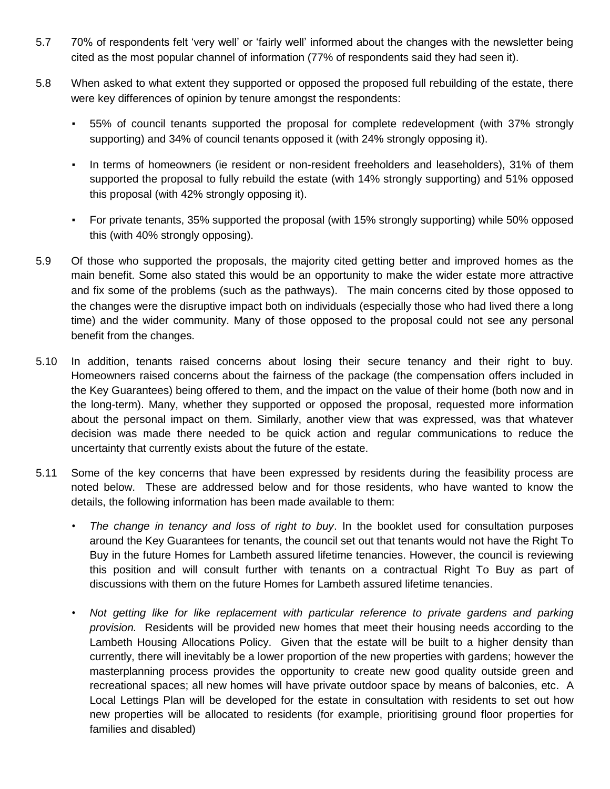- 5.7 70% of respondents felt 'very well' or 'fairly well' informed about the changes with the newsletter being cited as the most popular channel of information (77% of respondents said they had seen it).
- 5.8 When asked to what extent they supported or opposed the proposed full rebuilding of the estate, there were key differences of opinion by tenure amongst the respondents:
	- 55% of council tenants supported the proposal for complete redevelopment (with 37% strongly supporting) and 34% of council tenants opposed it (with 24% strongly opposing it).
	- In terms of homeowners (ie resident or non-resident freeholders and leaseholders), 31% of them supported the proposal to fully rebuild the estate (with 14% strongly supporting) and 51% opposed this proposal (with 42% strongly opposing it).
	- For private tenants, 35% supported the proposal (with 15% strongly supporting) while 50% opposed this (with 40% strongly opposing).
- 5.9 Of those who supported the proposals, the majority cited getting better and improved homes as the main benefit. Some also stated this would be an opportunity to make the wider estate more attractive and fix some of the problems (such as the pathways). The main concerns cited by those opposed to the changes were the disruptive impact both on individuals (especially those who had lived there a long time) and the wider community. Many of those opposed to the proposal could not see any personal benefit from the changes.
- 5.10 In addition, tenants raised concerns about losing their secure tenancy and their right to buy. Homeowners raised concerns about the fairness of the package (the compensation offers included in the Key Guarantees) being offered to them, and the impact on the value of their home (both now and in the long-term). Many, whether they supported or opposed the proposal, requested more information about the personal impact on them. Similarly, another view that was expressed, was that whatever decision was made there needed to be quick action and regular communications to reduce the uncertainty that currently exists about the future of the estate.
- 5.11 Some of the key concerns that have been expressed by residents during the feasibility process are noted below. These are addressed below and for those residents, who have wanted to know the details, the following information has been made available to them:
	- *The change in tenancy and loss of right to buy*. In the booklet used for consultation purposes around the Key Guarantees for tenants, the council set out that tenants would not have the Right To Buy in the future Homes for Lambeth assured lifetime tenancies. However, the council is reviewing this position and will consult further with tenants on a contractual Right To Buy as part of discussions with them on the future Homes for Lambeth assured lifetime tenancies.
	- *Not getting like for like replacement with particular reference to private gardens and parking provision.* Residents will be provided new homes that meet their housing needs according to the Lambeth Housing Allocations Policy. Given that the estate will be built to a higher density than currently, there will inevitably be a lower proportion of the new properties with gardens; however the masterplanning process provides the opportunity to create new good quality outside green and recreational spaces; all new homes will have private outdoor space by means of balconies, etc. A Local Lettings Plan will be developed for the estate in consultation with residents to set out how new properties will be allocated to residents (for example, prioritising ground floor properties for families and disabled)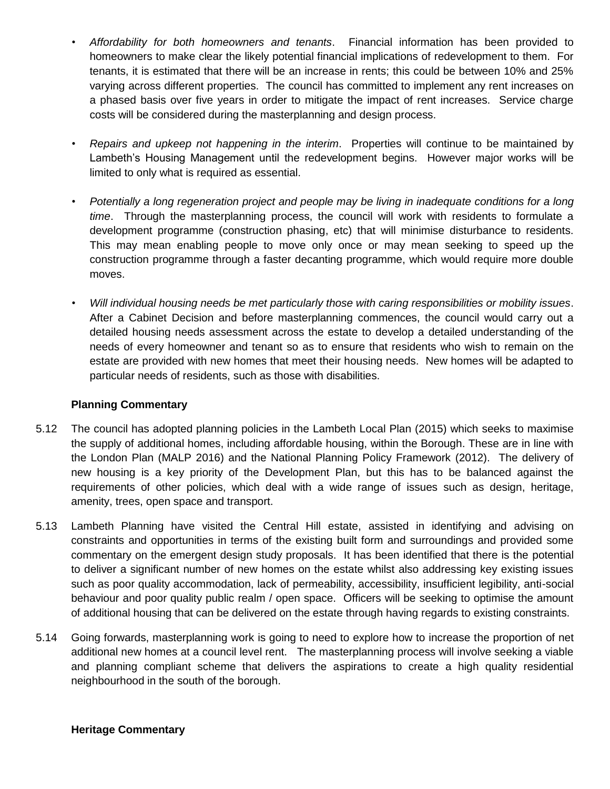- *Affordability for both homeowners and tenants*. Financial information has been provided to homeowners to make clear the likely potential financial implications of redevelopment to them. For tenants, it is estimated that there will be an increase in rents; this could be between 10% and 25% varying across different properties. The council has committed to implement any rent increases on a phased basis over five years in order to mitigate the impact of rent increases. Service charge costs will be considered during the masterplanning and design process.
- *Repairs and upkeep not happening in the interim*. Properties will continue to be maintained by Lambeth's Housing Management until the redevelopment begins. However major works will be limited to only what is required as essential.
- *Potentially a long regeneration project and people may be living in inadequate conditions for a long time*. Through the masterplanning process, the council will work with residents to formulate a development programme (construction phasing, etc) that will minimise disturbance to residents. This may mean enabling people to move only once or may mean seeking to speed up the construction programme through a faster decanting programme, which would require more double moves.
- *Will individual housing needs be met particularly those with caring responsibilities or mobility issues*. After a Cabinet Decision and before masterplanning commences, the council would carry out a detailed housing needs assessment across the estate to develop a detailed understanding of the needs of every homeowner and tenant so as to ensure that residents who wish to remain on the estate are provided with new homes that meet their housing needs. New homes will be adapted to particular needs of residents, such as those with disabilities.

#### **Planning Commentary**

- 5.12 The council has adopted planning policies in the Lambeth Local Plan (2015) which seeks to maximise the supply of additional homes, including affordable housing, within the Borough. These are in line with the London Plan (MALP 2016) and the National Planning Policy Framework (2012). The delivery of new housing is a key priority of the Development Plan, but this has to be balanced against the requirements of other policies, which deal with a wide range of issues such as design, heritage, amenity, trees, open space and transport.
- 5.13 Lambeth Planning have visited the Central Hill estate, assisted in identifying and advising on constraints and opportunities in terms of the existing built form and surroundings and provided some commentary on the emergent design study proposals. It has been identified that there is the potential to deliver a significant number of new homes on the estate whilst also addressing key existing issues such as poor quality accommodation, lack of permeability, accessibility, insufficient legibility, anti-social behaviour and poor quality public realm / open space. Officers will be seeking to optimise the amount of additional housing that can be delivered on the estate through having regards to existing constraints.
- 5.14 Going forwards, masterplanning work is going to need to explore how to increase the proportion of net additional new homes at a council level rent. The masterplanning process will involve seeking a viable and planning compliant scheme that delivers the aspirations to create a high quality residential neighbourhood in the south of the borough.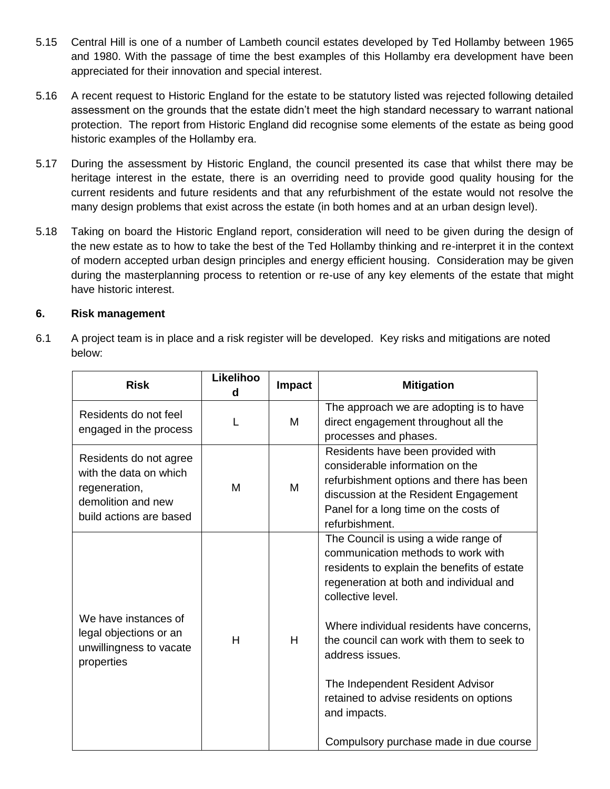- 5.15 Central Hill is one of a number of Lambeth council estates developed by Ted Hollamby between 1965 and 1980. With the passage of time the best examples of this Hollamby era development have been appreciated for their innovation and special interest.
- 5.16 A recent request to Historic England for the estate to be statutory listed was rejected following detailed assessment on the grounds that the estate didn't meet the high standard necessary to warrant national protection. The report from Historic England did recognise some elements of the estate as being good historic examples of the Hollamby era.
- 5.17 During the assessment by Historic England, the council presented its case that whilst there may be heritage interest in the estate, there is an overriding need to provide good quality housing for the current residents and future residents and that any refurbishment of the estate would not resolve the many design problems that exist across the estate (in both homes and at an urban design level).
- 5.18 Taking on board the Historic England report, consideration will need to be given during the design of the new estate as to how to take the best of the Ted Hollamby thinking and re-interpret it in the context of modern accepted urban design principles and energy efficient housing. Consideration may be given during the masterplanning process to retention or re-use of any key elements of the estate that might have historic interest.

### **6. Risk management**

6.1 A project team is in place and a risk register will be developed. Key risks and mitigations are noted below:

| <b>Risk</b>                                                                                                        | Likelihoo<br>d | Impact | <b>Mitigation</b>                                                                                                                                                                                                                                                                                                                                                                                                                               |
|--------------------------------------------------------------------------------------------------------------------|----------------|--------|-------------------------------------------------------------------------------------------------------------------------------------------------------------------------------------------------------------------------------------------------------------------------------------------------------------------------------------------------------------------------------------------------------------------------------------------------|
| Residents do not feel<br>engaged in the process                                                                    | L              | м      | The approach we are adopting is to have<br>direct engagement throughout all the<br>processes and phases.                                                                                                                                                                                                                                                                                                                                        |
| Residents do not agree<br>with the data on which<br>regeneration,<br>demolition and new<br>build actions are based | М              | м      | Residents have been provided with<br>considerable information on the<br>refurbishment options and there has been<br>discussion at the Resident Engagement<br>Panel for a long time on the costs of<br>refurbishment.                                                                                                                                                                                                                            |
| We have instances of<br>legal objections or an<br>unwillingness to vacate<br>properties                            | H              | H      | The Council is using a wide range of<br>communication methods to work with<br>residents to explain the benefits of estate<br>regeneration at both and individual and<br>collective level.<br>Where individual residents have concerns,<br>the council can work with them to seek to<br>address issues.<br>The Independent Resident Advisor<br>retained to advise residents on options<br>and impacts.<br>Compulsory purchase made in due course |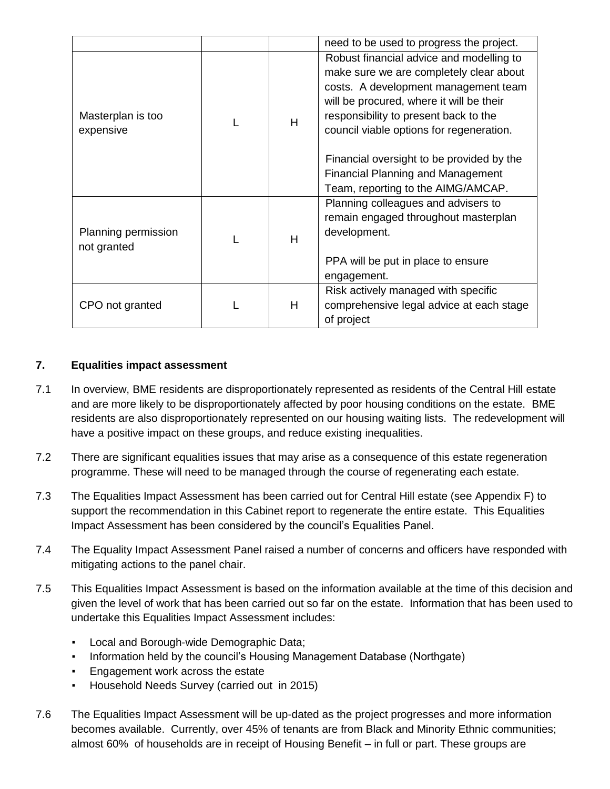|                                    |   | need to be used to progress the project.                                                                                                                                                                                                                                                                                                                                                    |
|------------------------------------|---|---------------------------------------------------------------------------------------------------------------------------------------------------------------------------------------------------------------------------------------------------------------------------------------------------------------------------------------------------------------------------------------------|
| Masterplan is too<br>expensive     | H | Robust financial advice and modelling to<br>make sure we are completely clear about<br>costs. A development management team<br>will be procured, where it will be their<br>responsibility to present back to the<br>council viable options for regeneration.<br>Financial oversight to be provided by the<br><b>Financial Planning and Management</b><br>Team, reporting to the AIMG/AMCAP. |
| Planning permission<br>not granted | H | Planning colleagues and advisers to<br>remain engaged throughout masterplan<br>development.<br>PPA will be put in place to ensure<br>engagement.                                                                                                                                                                                                                                            |
| CPO not granted                    | H | Risk actively managed with specific<br>comprehensive legal advice at each stage<br>of project                                                                                                                                                                                                                                                                                               |

# **7. Equalities impact assessment**

- 7.1 In overview, BME residents are disproportionately represented as residents of the Central Hill estate and are more likely to be disproportionately affected by poor housing conditions on the estate. BME residents are also disproportionately represented on our housing waiting lists. The redevelopment will have a positive impact on these groups, and reduce existing inequalities.
- 7.2 There are significant equalities issues that may arise as a consequence of this estate regeneration programme. These will need to be managed through the course of regenerating each estate.
- 7.3 The Equalities Impact Assessment has been carried out for Central Hill estate (see Appendix F) to support the recommendation in this Cabinet report to regenerate the entire estate. This Equalities Impact Assessment has been considered by the council's Equalities Panel.
- 7.4 The Equality Impact Assessment Panel raised a number of concerns and officers have responded with mitigating actions to the panel chair.
- 7.5 This Equalities Impact Assessment is based on the information available at the time of this decision and given the level of work that has been carried out so far on the estate. Information that has been used to undertake this Equalities Impact Assessment includes:
	- Local and Borough-wide Demographic Data;
	- Information held by the council's Housing Management Database (Northgate)
	- Engagement work across the estate
	- Household Needs Survey (carried out in 2015)
- 7.6 The Equalities Impact Assessment will be up-dated as the project progresses and more information becomes available. Currently, over 45% of tenants are from Black and Minority Ethnic communities; almost 60% of households are in receipt of Housing Benefit – in full or part. These groups are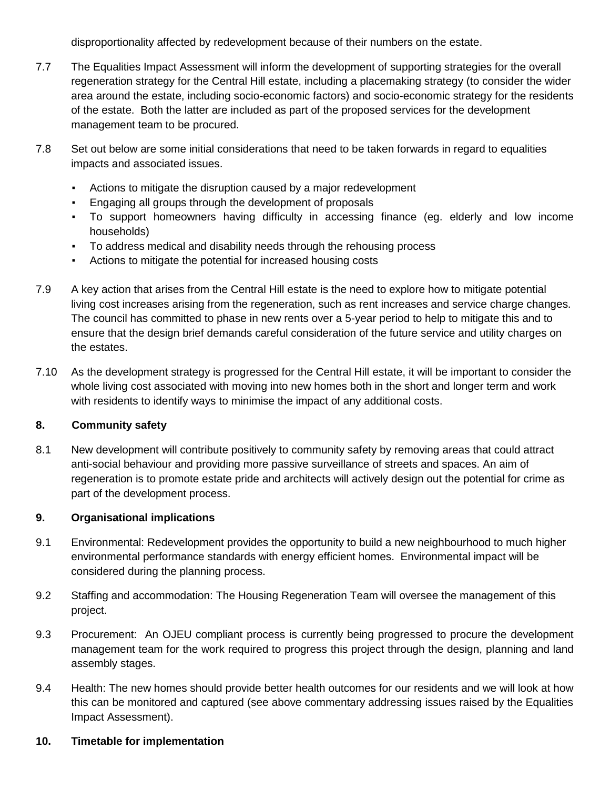disproportionality affected by redevelopment because of their numbers on the estate.

- 7.7 The Equalities Impact Assessment will inform the development of supporting strategies for the overall regeneration strategy for the Central Hill estate, including a placemaking strategy (to consider the wider area around the estate, including socio-economic factors) and socio-economic strategy for the residents of the estate. Both the latter are included as part of the proposed services for the development management team to be procured.
- 7.8 Set out below are some initial considerations that need to be taken forwards in regard to equalities impacts and associated issues.
	- Actions to mitigate the disruption caused by a major redevelopment
	- Engaging all groups through the development of proposals
	- To support homeowners having difficulty in accessing finance (eg. elderly and low income households)
	- To address medical and disability needs through the rehousing process
	- Actions to mitigate the potential for increased housing costs
- 7.9 A key action that arises from the Central Hill estate is the need to explore how to mitigate potential living cost increases arising from the regeneration, such as rent increases and service charge changes. The council has committed to phase in new rents over a 5-year period to help to mitigate this and to ensure that the design brief demands careful consideration of the future service and utility charges on the estates.
- 7.10 As the development strategy is progressed for the Central Hill estate, it will be important to consider the whole living cost associated with moving into new homes both in the short and longer term and work with residents to identify ways to minimise the impact of any additional costs.

# **8. Community safety**

8.1 New development will contribute positively to community safety by removing areas that could attract anti-social behaviour and providing more passive surveillance of streets and spaces. An aim of regeneration is to promote estate pride and architects will actively design out the potential for crime as part of the development process.

# **9. Organisational implications**

- 9.1 Environmental: Redevelopment provides the opportunity to build a new neighbourhood to much higher environmental performance standards with energy efficient homes. Environmental impact will be considered during the planning process.
- 9.2 Staffing and accommodation: The Housing Regeneration Team will oversee the management of this project.
- 9.3 Procurement: An OJEU compliant process is currently being progressed to procure the development management team for the work required to progress this project through the design, planning and land assembly stages.
- 9.4 Health: The new homes should provide better health outcomes for our residents and we will look at how this can be monitored and captured (see above commentary addressing issues raised by the Equalities Impact Assessment).
- **10. Timetable for implementation**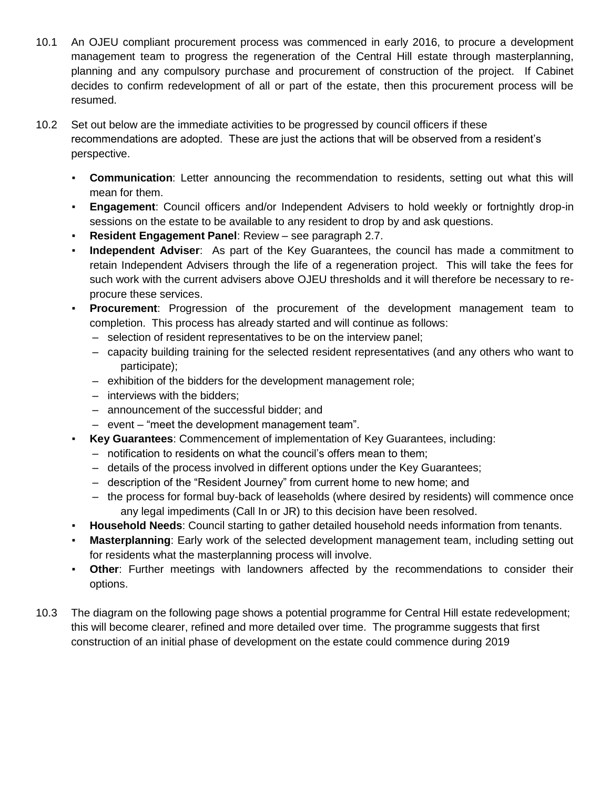- 10.1 An OJEU compliant procurement process was commenced in early 2016, to procure a development management team to progress the regeneration of the Central Hill estate through masterplanning, planning and any compulsory purchase and procurement of construction of the project. If Cabinet decides to confirm redevelopment of all or part of the estate, then this procurement process will be resumed.
- 10.2 Set out below are the immediate activities to be progressed by council officers if these recommendations are adopted. These are just the actions that will be observed from a resident's perspective.
	- **Communication**: Letter announcing the recommendation to residents, setting out what this will mean for them.
	- **Engagement**: Council officers and/or Independent Advisers to hold weekly or fortnightly drop-in sessions on the estate to be available to any resident to drop by and ask questions.
	- **Resident Engagement Panel: Review see paragraph 2.7.**
	- **Independent Adviser**: As part of the Key Guarantees, the council has made a commitment to retain Independent Advisers through the life of a regeneration project. This will take the fees for such work with the current advisers above OJEU thresholds and it will therefore be necessary to reprocure these services.
	- **Procurement**: Progression of the procurement of the development management team to completion. This process has already started and will continue as follows:
		- selection of resident representatives to be on the interview panel;
		- capacity building training for the selected resident representatives (and any others who want to participate);
		- exhibition of the bidders for the development management role;
		- interviews with the bidders;
		- announcement of the successful bidder; and
		- event "meet the development management team".
	- **Key Guarantees**: Commencement of implementation of Key Guarantees, including:
		- notification to residents on what the council's offers mean to them;
		- details of the process involved in different options under the Key Guarantees;
		- description of the "Resident Journey" from current home to new home; and
		- the process for formal buy-back of leaseholds (where desired by residents) will commence once any legal impediments (Call In or JR) to this decision have been resolved.
	- **Household Needs**: Council starting to gather detailed household needs information from tenants.
	- **Masterplanning**: Early work of the selected development management team, including setting out for residents what the masterplanning process will involve.
	- **Other:** Further meetings with landowners affected by the recommendations to consider their options.
- 10.3 The diagram on the following page shows a potential programme for Central Hill estate redevelopment; this will become clearer, refined and more detailed over time. The programme suggests that first construction of an initial phase of development on the estate could commence during 2019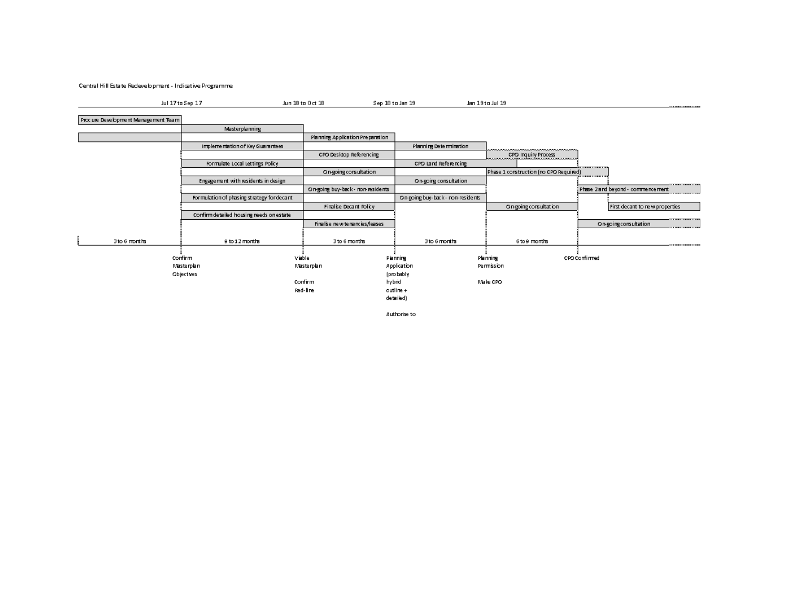Central Hill Estate Redevelopment - Indicative Programme

| .<br>7 tn Sen | ' ta Do | '†⊓ lan<br>ser | Jul 19<br>$0.04 - 1$ |  |
|---------------|---------|----------------|----------------------|--|
|               |         |                |                      |  |

Proc ure Development Management Team

 $\overline{\phantom{0}}$  $\overline{\phantom{0}}$ 

|               | <b>Masterplanning</b>                      |                                  |                                   |                                        |                                        |
|---------------|--------------------------------------------|----------------------------------|-----------------------------------|----------------------------------------|----------------------------------------|
|               |                                            | Planning Application Preparation |                                   |                                        |                                        |
|               | Implementation of Key Guarantees           |                                  | Planning Determination            |                                        |                                        |
|               |                                            | CPO Desktop Referencing          |                                   | CPO Inquiry Process                    |                                        |
|               | Formulate Local Lettings Policy            |                                  | CPO Land Referencing              |                                        | .                                      |
|               |                                            | On-going consultation            |                                   | Phase 1 construction (no CPO Required) |                                        |
|               | Engagement with residents in design        |                                  | On going consultation             |                                        |                                        |
|               |                                            | On-going buy-back- non-residents |                                   |                                        | Phase 2 and beyond - commencement<br>. |
|               | Formulation of phasing strategy for decant |                                  | On-going buy-back - non-residents |                                        |                                        |
|               |                                            | Finalise Decant Policy           |                                   | On-going consultation                  | First decant to new properties         |
|               | Confirm detailed housing needs on estate   |                                  |                                   |                                        |                                        |
|               |                                            | Finalise new tenancies/leases    |                                   |                                        | On-going consultation<br>              |
|               |                                            |                                  |                                   |                                        |                                        |
| 3 to 6 months | 9 to 12 months                             | 3 to 6 months                    | 3 to 6 months                     | atnon ecta                             | . <b>. . . .</b>                       |
|               |                                            |                                  |                                   |                                        |                                        |
|               | Confirm                                    | Viable                           | Planning                          | Planning                               | CPO Confirmed                          |
|               | Masterplan                                 | Masterplan                       | Application                       | Permission                             |                                        |
|               | Objectives                                 |                                  | (probably                         |                                        |                                        |
|               |                                            | Confirm                          | hybrid                            | Make CPO                               |                                        |
|               |                                            | Red-line                         | outline +                         |                                        |                                        |
|               |                                            |                                  | detailed)                         |                                        |                                        |

Authorise to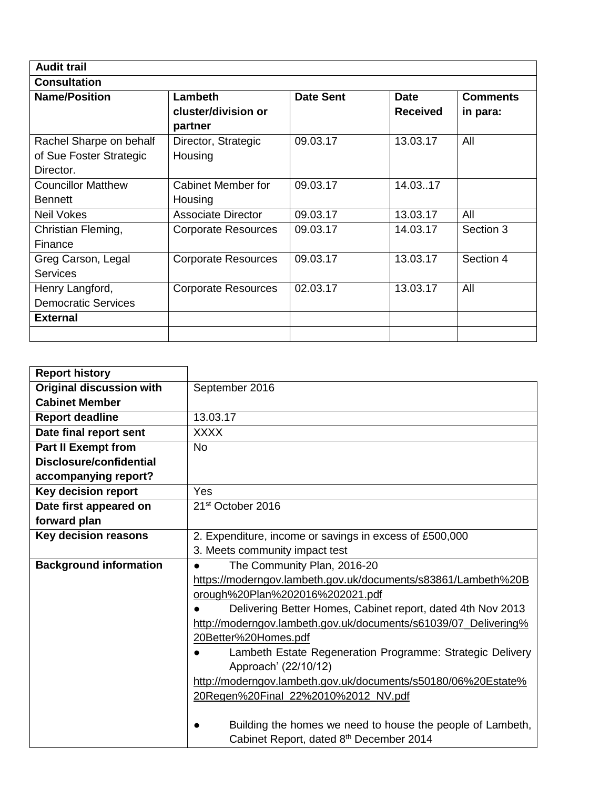| <b>Audit trail</b>         |                            |                  |                 |                 |
|----------------------------|----------------------------|------------------|-----------------|-----------------|
| <b>Consultation</b>        |                            |                  |                 |                 |
| <b>Name/Position</b>       | Lambeth                    | <b>Date Sent</b> | <b>Date</b>     | <b>Comments</b> |
|                            | cluster/division or        |                  | <b>Received</b> | in para:        |
|                            | partner                    |                  |                 |                 |
| Rachel Sharpe on behalf    | Director, Strategic        | 09.03.17         | 13.03.17        | All             |
| of Sue Foster Strategic    | Housing                    |                  |                 |                 |
| Director.                  |                            |                  |                 |                 |
| <b>Councillor Matthew</b>  | Cabinet Member for         | 09.03.17         | 14.0317         |                 |
| <b>Bennett</b>             | Housing                    |                  |                 |                 |
| <b>Neil Vokes</b>          | <b>Associate Director</b>  | 09.03.17         | 13.03.17        | All             |
| Christian Fleming,         | <b>Corporate Resources</b> | 09.03.17         | 14.03.17        | Section 3       |
| Finance                    |                            |                  |                 |                 |
| Greg Carson, Legal         | <b>Corporate Resources</b> | 09.03.17         | 13.03.17        | Section 4       |
| <b>Services</b>            |                            |                  |                 |                 |
| Henry Langford,            | <b>Corporate Resources</b> | 02.03.17         | 13.03.17        | All             |
| <b>Democratic Services</b> |                            |                  |                 |                 |
| <b>External</b>            |                            |                  |                 |                 |
|                            |                            |                  |                 |                 |

| <b>Report history</b>           |                                                                 |  |  |  |
|---------------------------------|-----------------------------------------------------------------|--|--|--|
| <b>Original discussion with</b> | September 2016                                                  |  |  |  |
| <b>Cabinet Member</b>           |                                                                 |  |  |  |
| <b>Report deadline</b>          | 13.03.17                                                        |  |  |  |
| Date final report sent          | <b>XXXX</b>                                                     |  |  |  |
| <b>Part II Exempt from</b>      | <b>No</b>                                                       |  |  |  |
| <b>Disclosure/confidential</b>  |                                                                 |  |  |  |
| accompanying report?            |                                                                 |  |  |  |
| Key decision report             | Yes                                                             |  |  |  |
| Date first appeared on          | 21 <sup>st</sup> October 2016                                   |  |  |  |
| forward plan                    |                                                                 |  |  |  |
| Key decision reasons            | 2. Expenditure, income or savings in excess of £500,000         |  |  |  |
|                                 | 3. Meets community impact test                                  |  |  |  |
| <b>Background information</b>   | The Community Plan, 2016-20<br>$\bullet$                        |  |  |  |
|                                 | https://moderngov.lambeth.gov.uk/documents/s83861/Lambeth%20B   |  |  |  |
|                                 | orough%20Plan%202016%202021.pdf                                 |  |  |  |
|                                 | Delivering Better Homes, Cabinet report, dated 4th Nov 2013     |  |  |  |
|                                 | http://moderngov.lambeth.gov.uk/documents/s61039/07_Delivering% |  |  |  |
|                                 | 20Better%20Homes.pdf                                            |  |  |  |
|                                 | Lambeth Estate Regeneration Programme: Strategic Delivery       |  |  |  |
|                                 | Approach' (22/10/12)                                            |  |  |  |
|                                 | http://moderngov.lambeth.gov.uk/documents/s50180/06%20Estate%   |  |  |  |
|                                 | 20Regen%20Final_22%2010%2012_NV.pdf                             |  |  |  |
|                                 |                                                                 |  |  |  |
|                                 | Building the homes we need to house the people of Lambeth,      |  |  |  |
|                                 | Cabinet Report, dated 8th December 2014                         |  |  |  |